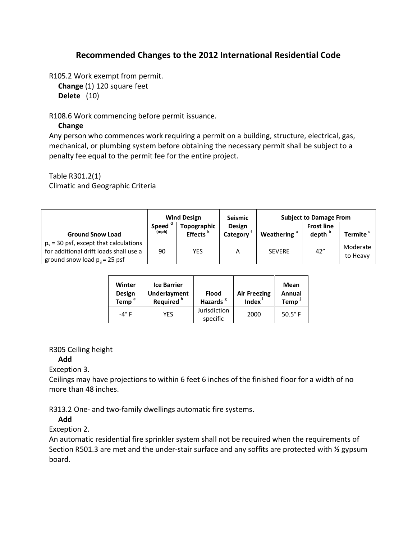# **Recommended Changes to the 2012 International Residential Code**

R105.2 Work exempt from permit.

**Change** (1) 120 square feet

**Delete** (10)

R108.6 Work commencing before permit issuance.

### **Change**

Any person who commences work requiring a permit on a building, structure, electrical, gas, mechanical, or plumbing system before obtaining the necessary permit shall be subject to a penalty fee equal to the permit fee for the entire project.

Table R301.2(1)

Climatic and Geographic Criteria

|                                                                                                                       | <b>Wind Design</b>          |                                     | <b>Seismic</b>            | <b>Subject to Damage From</b> |                                         |                      |
|-----------------------------------------------------------------------------------------------------------------------|-----------------------------|-------------------------------------|---------------------------|-------------------------------|-----------------------------------------|----------------------|
| <b>Ground Snow Load</b>                                                                                               | Speed <sup>d</sup><br>(mph) | Topographic<br>Effects <sup>k</sup> | <b>Design</b><br>Category | Weathering <sup>a</sup>       | <b>Frost line</b><br>depth <sup>b</sup> | Termite '            |
| $p_s$ = 30 psf, except that calculations<br>for additional drift loads shall use a<br>ground snow load $p_g = 25$ psf | 90                          | YES                                 | А                         | <b>SEVERE</b>                 | 42''                                    | Moderate<br>to Heavy |

| Winter<br><b>Design</b><br>Temp <sup>e</sup> | <b>Ice Barrier</b><br><b>Underlayment</b><br>Required <sup>h</sup> | <b>Flood</b><br>Hazards <sup>8</sup> | <b>Air Freezing</b><br><b>Index</b> | Mean<br>Annual<br><b>Temp</b> |
|----------------------------------------------|--------------------------------------------------------------------|--------------------------------------|-------------------------------------|-------------------------------|
| $-4^\circ$ F                                 | YFS                                                                | Jurisdiction<br>specific             | 2000                                | $50.5^{\circ}$ F              |

## R305 Ceiling height

## **Add**

Exception 3.

Ceilings may have projections to within 6 feet 6 inches of the finished floor for a width of no more than 48 inches.

R313.2 One- and two-family dwellings automatic fire systems.

## **Add**

Exception 2.

An automatic residential fire sprinkler system shall not be required when the requirements of Section R501.3 are met and the under-stair surface and any soffits are protected with ½ gypsum board.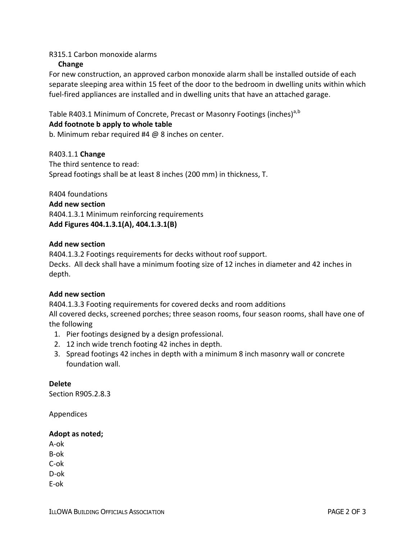### R315.1 Carbon monoxide alarms

### **Change**

For new construction, an approved carbon monoxide alarm shall be installed outside of each separate sleeping area within 15 feet of the door to the bedroom in dwelling units within which fuel-fired appliances are installed and in dwelling units that have an attached garage.

Table R403.1 Minimum of Concrete, Precast or Masonry Footings (inches)<sup>a,b</sup>

### **Add footnote b apply to whole table**

b. Minimum rebar required #4 @ 8 inches on center.

R403.1.1 **Change** The third sentence to read: Spread footings shall be at least 8 inches (200 mm) in thickness, T.

R404 foundations **Add new section** R404.1.3.1 Minimum reinforcing requirements **Add Figures 404.1.3.1(A), 404.1.3.1(B)**

#### **Add new section**

R404.1.3.2 Footings requirements for decks without roof support. Decks. All deck shall have a minimum footing size of 12 inches in diameter and 42 inches in depth.

### **Add new section**

R404.1.3.3 Footing requirements for covered decks and room additions All covered decks, screened porches; three season rooms, four season rooms, shall have one of the following

- 1. Pier footings designed by a design professional.
- 2. 12 inch wide trench footing 42 inches in depth.
- 3. Spread footings 42 inches in depth with a minimum 8 inch masonry wall or concrete foundation wall.

**Delete** Section R905.2.8.3

Appendices

#### **Adopt as noted;**

A-ok B-ok C-ok D-ok E-ok